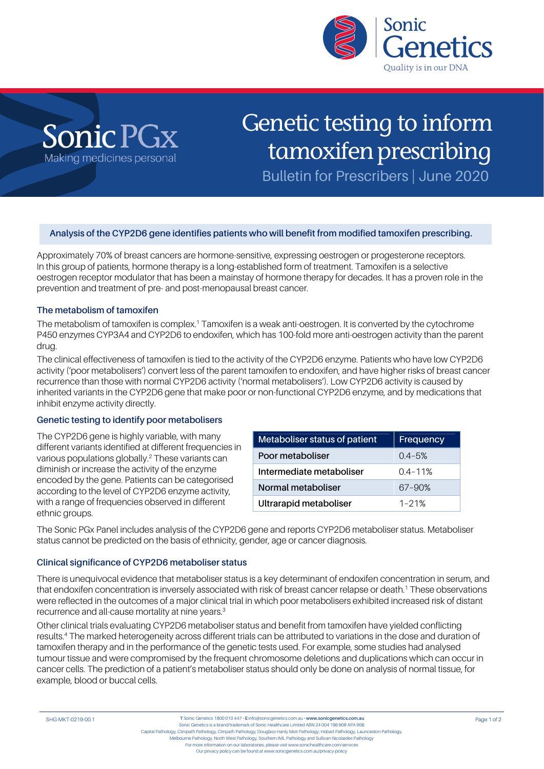



# Genetic testing to inform tamoxifen prescribing

Bulletin for Prescribers | June 2020

### **Analysis of the CYP2D6 gene identifies patients who will benefit from modified tamoxifen prescribing.**

Approximately 70% of breast cancers are hormone-sensitive, expressing oestrogen or progesterone receptors. In this group of patients, hormone therapy is a long-established form of treatment. Tamoxifen is a selective oestrogen receptor modulator that has been a mainstay of hormone therapy for decades. It has a proven role in the prevention and treatment of pre- and post-menopausal breast cancer.

#### **The metabolism of tamoxifen**

The metabolism of tamoxifen is complex.<sup>1</sup> Tamoxifen is a weak anti-oestrogen. It is converted by the cytochrome P450 enzymes CYP3A4 and CYP2D6 to endoxifen, which has 100-fold more anti-oestrogen activity than the parent drug.

The clinical effectiveness of tamoxifen is tied to the activity of the CYP2D6 enzyme. Patients who have low CYP2D6 activity ('poor metabolisers') convert less of the parent tamoxifen to endoxifen, and have higher risks of breast cancer recurrence than those with normal CYP2D6 activity ('normal metabolisers'). Low CYP2D6 activity is caused by inherited variants in the CYP2D6 gene that make poor or non-functional CYP2D6 enzyme, and by medications that inhibit enzyme activity directly.

#### **Genetic testing to identify poor metabolisers**

The CYP2D6 gene is highly variable, with many different variants identified at different frequencies in various populations globally.2 These variants can diminish or increase the activity of the enzyme encoded by the gene. Patients can be categorised according to the level of CYP2D6 enzyme activity, with a range of frequencies observed in different ethnic groups.

| Metaboliser status of patient | Frequency   |
|-------------------------------|-------------|
| Poor metaboliser              | $0.4 - 5%$  |
| Intermediate metaboliser      | $0.4 - 11%$ |
| Normal metaboliser            | 67-90%      |
| Ultrarapid metaboliser        | $1 - 21%$   |

The Sonic PGx Panel includes analysis of the CYP2D6 gene and reports CYP2D6 metaboliser status. Metaboliser status cannot be predicted on the basis of ethnicity, gender, age or cancer diagnosis.

#### **Clinical significance of CYP2D6 metaboliser status**

There is unequivocal evidence that metaboliser status is a key determinant of endoxifen concentration in serum, and that endoxifen concentration is inversely associated with risk of breast cancer relapse or death.<sup>1</sup> These observations were reflected in the outcomes of a major clinical trial in which poor metabolisers exhibited increased risk of distant recurrence and all-cause mortality at nine years.<sup>3</sup>

Other clinical trials evaluating CYP2D6 metaboliser status and benefit from tamoxifen have yielded conflicting results.4 The marked heterogeneity across different trials can be attributed to variations in the dose and duration of tamoxifen therapy and in the performance of the genetic tests used. For example, some studies had analysed tumour tissue and were compromised by the frequent chromosome deletions and duplications which can occur in cancer cells. The prediction of a patient's metaboliser status should only be done on analysis of normal tissue, for example, blood or buccal cells.